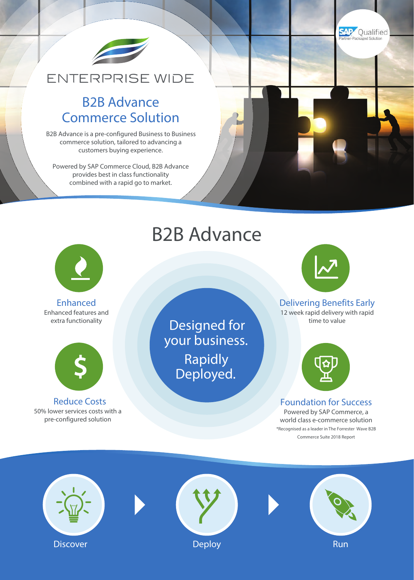

## **ENTERPRISE WIDE**

### B2B Advance Commerce Solution

B2B Advance is a pre-configured Business to Business commerce solution, tailored to advancing a customers buying experience.

Powered by SAP Commerce Cloud, B2B Advance provides best in class functionality combined with a rapid go to market.



Enhanced Enhanced features and extra functionality



Reduce Costs 50% lower services costs with a pre-configured solution

## B2B Advance

Designed for

your business.

Rapidly

Deployed.



**SAP** Qualified

Delivering Benefits Early 12 week rapid delivery with rapid time to value



Foundation for Success Powered by SAP Commerce, a world class e-commerce solution \*Recognised as a leader in The Forrester Wave B2B Commerce Suite 2018 Report